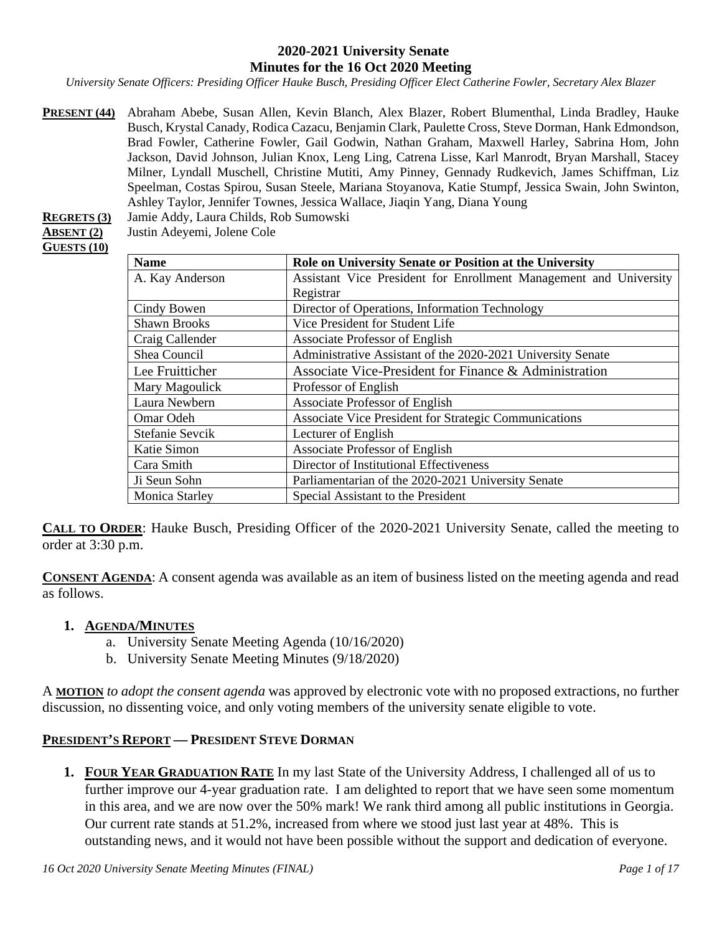#### **2020-2021 University Senate Minutes for the 16 Oct 2020 Meeting**

*University Senate Officers: Presiding Officer Hauke Busch, Presiding Officer Elect Catherine Fowler, Secretary Alex Blazer*

**PRESENT (44)** Abraham Abebe, Susan Allen, Kevin Blanch, Alex Blazer, Robert Blumenthal, Linda Bradley, Hauke Busch, Krystal Canady, Rodica Cazacu, Benjamin Clark, Paulette Cross, Steve Dorman, Hank Edmondson, Brad Fowler, Catherine Fowler, Gail Godwin, Nathan Graham, Maxwell Harley, Sabrina Hom, John Jackson, David Johnson, Julian Knox, Leng Ling, Catrena Lisse, Karl Manrodt, Bryan Marshall, Stacey Milner, Lyndall Muschell, Christine Mutiti, Amy Pinney, Gennady Rudkevich, James Schiffman, Liz Speelman, Costas Spirou, Susan Steele, Mariana Stoyanova, Katie Stumpf, Jessica Swain, John Swinton, Ashley Taylor, Jennifer Townes, Jessica Wallace, Jiaqin Yang, Diana Young

**REGRETS (3)** Jamie Addy, Laura Childs, Rob Sumowski

**ABSENT (2)** Justin Adeyemi, Jolene Cole

# **GUESTS (10)**

| <b>Name</b>           | Role on University Senate or Position at the University           |  |  |
|-----------------------|-------------------------------------------------------------------|--|--|
| A. Kay Anderson       | Assistant Vice President for Enrollment Management and University |  |  |
|                       | Registrar                                                         |  |  |
| Cindy Bowen           | Director of Operations, Information Technology                    |  |  |
| <b>Shawn Brooks</b>   | Vice President for Student Life                                   |  |  |
| Craig Callender       | Associate Professor of English                                    |  |  |
| Shea Council          | Administrative Assistant of the 2020-2021 University Senate       |  |  |
| Lee Fruitticher       | Associate Vice-President for Finance & Administration             |  |  |
| Mary Magoulick        | Professor of English                                              |  |  |
| Laura Newbern         | Associate Professor of English                                    |  |  |
| Omar Odeh             | <b>Associate Vice President for Strategic Communications</b>      |  |  |
| Stefanie Sevcik       | Lecturer of English                                               |  |  |
| Katie Simon           | Associate Professor of English                                    |  |  |
| Cara Smith            | Director of Institutional Effectiveness                           |  |  |
| Ji Seun Sohn          | Parliamentarian of the 2020-2021 University Senate                |  |  |
| <b>Monica Starley</b> | Special Assistant to the President                                |  |  |

**CALL TO ORDER**: Hauke Busch, Presiding Officer of the 2020-2021 University Senate, called the meeting to order at 3:30 p.m.

**CONSENT AGENDA**: A consent agenda was available as an item of business listed on the meeting agenda and read as follows.

#### **1. AGENDA/MINUTES**

- a. University Senate Meeting Agenda (10/16/2020)
- b. University Senate Meeting Minutes (9/18/2020)

A **MOTION** *to adopt the consent agenda* was approved by electronic vote with no proposed extractions, no further discussion, no dissenting voice, and only voting members of the university senate eligible to vote.

#### **PRESIDENT'S REPORT — PRESIDENT STEVE DORMAN**

**1. FOUR YEAR GRADUATION RATE** In my last State of the University Address, I challenged all of us to further improve our 4-year graduation rate. I am delighted to report that we have seen some momentum in this area, and we are now over the 50% mark! We rank third among all public institutions in Georgia. Our current rate stands at 51.2%, increased from where we stood just last year at 48%. This is outstanding news, and it would not have been possible without the support and dedication of everyone.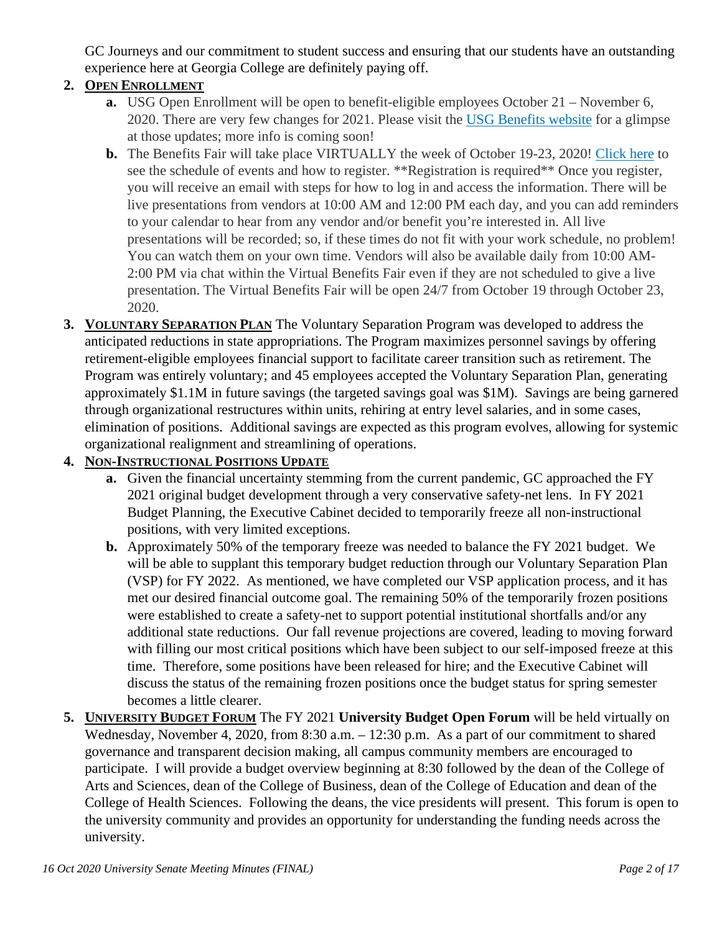GC Journeys and our commitment to student success and ensuring that our students have an outstanding experience here at Georgia College are definitely paying off.

## **2. OPEN ENROLLMENT**

- **a.** USG Open Enrollment will be open to benefit-eligible employees October 21 November 6, 2020. There are very few changes for 2021. Please visit the USG [Benefits](https://www.usg.edu/hr/benefits/2021_benefits/your_2021_benefits_centered_on_you) website for a glimpse at those updates; more info is coming soon!
- **b.** The Benefits Fair will take place VIRTUALLY the week of October 19-23, 2020! [Click](https://usg.vfairs.com/) here to see the schedule of events and how to register. \*\*Registration is required\*\* Once you register, you will receive an email with steps for how to log in and access the information. There will be live presentations from vendors at 10:00 AM and 12:00 PM each day, and you can add reminders to your calendar to hear from any vendor and/or benefit you're interested in. All live presentations will be recorded; so, if these times do not fit with your work schedule, no problem! You can watch them on your own time. Vendors will also be available daily from 10:00 AM-2:00 PM via chat within the Virtual Benefits Fair even if they are not scheduled to give a live presentation. The Virtual Benefits Fair will be open 24/7 from October 19 through October 23, 2020.
- **3. VOLUNTARY SEPARATION PLAN** The Voluntary Separation Program was developed to address the anticipated reductions in state appropriations. The Program maximizes personnel savings by offering retirement-eligible employees financial support to facilitate career transition such as retirement. The Program was entirely voluntary; and 45 employees accepted the Voluntary Separation Plan, generating approximately \$1.1M in future savings (the targeted savings goal was \$1M). Savings are being garnered through organizational restructures within units, rehiring at entry level salaries, and in some cases, elimination of positions. Additional savings are expected as this program evolves, allowing for systemic organizational realignment and streamlining of operations.

#### **4. NON-INSTRUCTIONAL POSITIONS UPDATE**

- **a.** Given the financial uncertainty stemming from the current pandemic, GC approached the FY 2021 original budget development through a very conservative safety-net lens. In FY 2021 Budget Planning, the Executive Cabinet decided to temporarily freeze all non-instructional positions, with very limited exceptions.
- **b.** Approximately 50% of the temporary freeze was needed to balance the FY 2021 budget. We will be able to supplant this temporary budget reduction through our Voluntary Separation Plan (VSP) for FY 2022. As mentioned, we have completed our VSP application process, and it has met our desired financial outcome goal. The remaining 50% of the temporarily frozen positions were established to create a safety-net to support potential institutional shortfalls and/or any additional state reductions. Our fall revenue projections are covered, leading to moving forward with filling our most critical positions which have been subject to our self-imposed freeze at this time. Therefore, some positions have been released for hire; and the Executive Cabinet will discuss the status of the remaining frozen positions once the budget status for spring semester becomes a little clearer.
- **5. UNIVERSITY BUDGET FORUM** The FY 2021 **University Budget Open Forum** will be held virtually on Wednesday, November 4, 2020, from 8:30 a.m. – 12:30 p.m. As a part of our commitment to shared governance and transparent decision making, all campus community members are encouraged to participate. I will provide a budget overview beginning at 8:30 followed by the dean of the College of Arts and Sciences, dean of the College of Business, dean of the College of Education and dean of the College of Health Sciences. Following the deans, the vice presidents will present. This forum is open to the university community and provides an opportunity for understanding the funding needs across the university.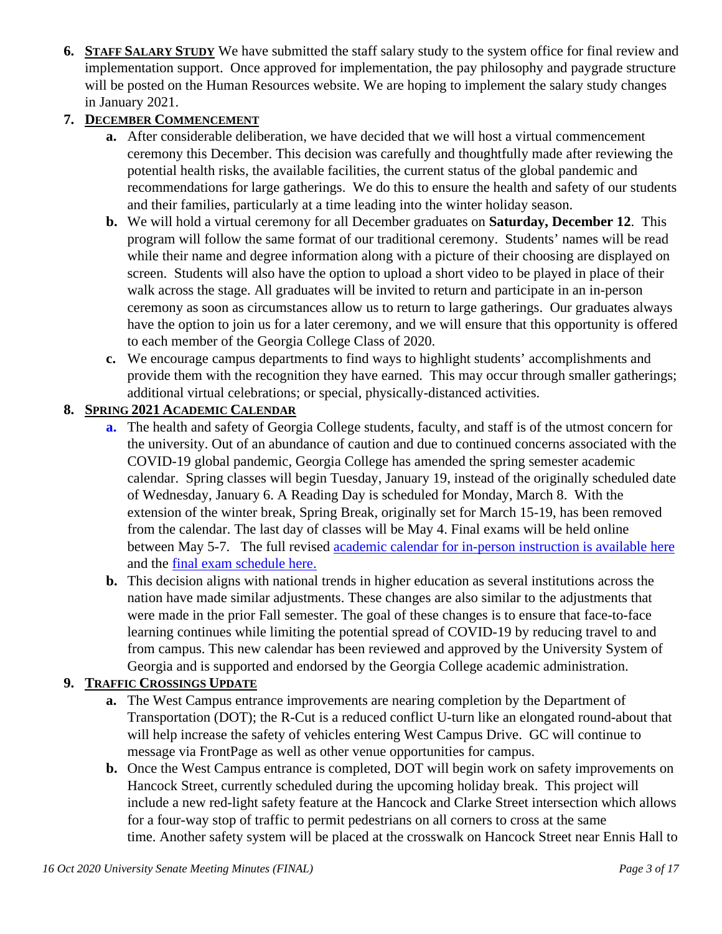**6. STAFF SALARY STUDY** We have submitted the staff salary study to the system office for final review and implementation support. Once approved for implementation, the pay philosophy and paygrade structure will be posted on the Human Resources website. We are hoping to implement the salary study changes in January 2021.

## **7. DECEMBER COMMENCEMENT**

- **a.** After considerable deliberation, we have decided that we will host a virtual commencement ceremony this December. This decision was carefully and thoughtfully made after reviewing the potential health risks, the available facilities, the current status of the global pandemic and recommendations for large gatherings. We do this to ensure the health and safety of our students and their families, particularly at a time leading into the winter holiday season.
- **b.** We will hold a virtual ceremony for all December graduates on **Saturday, December 12**. This program will follow the same format of our traditional ceremony. Students' names will be read while their name and degree information along with a picture of their choosing are displayed on screen. Students will also have the option to upload a short video to be played in place of their walk across the stage. All graduates will be invited to return and participate in an in-person ceremony as soon as circumstances allow us to return to large gatherings. Our graduates always have the option to join us for a later ceremony, and we will ensure that this opportunity is offered to each member of the Georgia College Class of 2020.
- **c.** We encourage campus departments to find ways to highlight students' accomplishments and provide them with the recognition they have earned. This may occur through smaller gatherings; additional virtual celebrations; or special, physically-distanced activities.

#### **8. SPRING 2021 ACADEMIC CALENDAR**

- **a.** The health and safety of Georgia College students, faculty, and staff is of the utmost concern for the university. Out of an abundance of caution and due to continued concerns associated with the COVID-19 global pandemic, Georgia College has amended the spring semester academic calendar. Spring classes will begin Tuesday, January 19, instead of the originally scheduled date of Wednesday, January 6. A Reading Day is scheduled for Monday, March 8. With the extension of the winter break, Spring Break, originally set for March 15-19, has been removed from the calendar. The last day of classes will be May 4. Final exams will be held online between May 5-7. The full revised [academic calendar for in-person instruction is available here](https://www.gcsu.edu/registrar/academic-calendars) and the [final exam schedule here.](https://www.gcsu.edu/registrar/final-exam-schedule)
- **b.** This decision aligns with national trends in higher education as several institutions across the nation have made similar adjustments. These changes are also similar to the adjustments that were made in the prior Fall semester. The goal of these changes is to ensure that face-to-face learning continues while limiting the potential spread of COVID-19 by reducing travel to and from campus. This new calendar has been reviewed and approved by the University System of Georgia and is supported and endorsed by the Georgia College academic administration.

#### **9. TRAFFIC CROSSINGS UPDATE**

- **a.** The West Campus entrance improvements are nearing completion by the Department of Transportation (DOT); the R-Cut is a reduced conflict U-turn like an elongated round-about that will help increase the safety of vehicles entering West Campus Drive. GC will continue to message via FrontPage as well as other venue opportunities for campus.
- **b.** Once the West Campus entrance is completed, DOT will begin work on safety improvements on Hancock Street, currently scheduled during the upcoming holiday break. This project will include a new red-light safety feature at the Hancock and Clarke Street intersection which allows for a four-way stop of traffic to permit pedestrians on all corners to cross at the same time. Another safety system will be placed at the crosswalk on Hancock Street near Ennis Hall to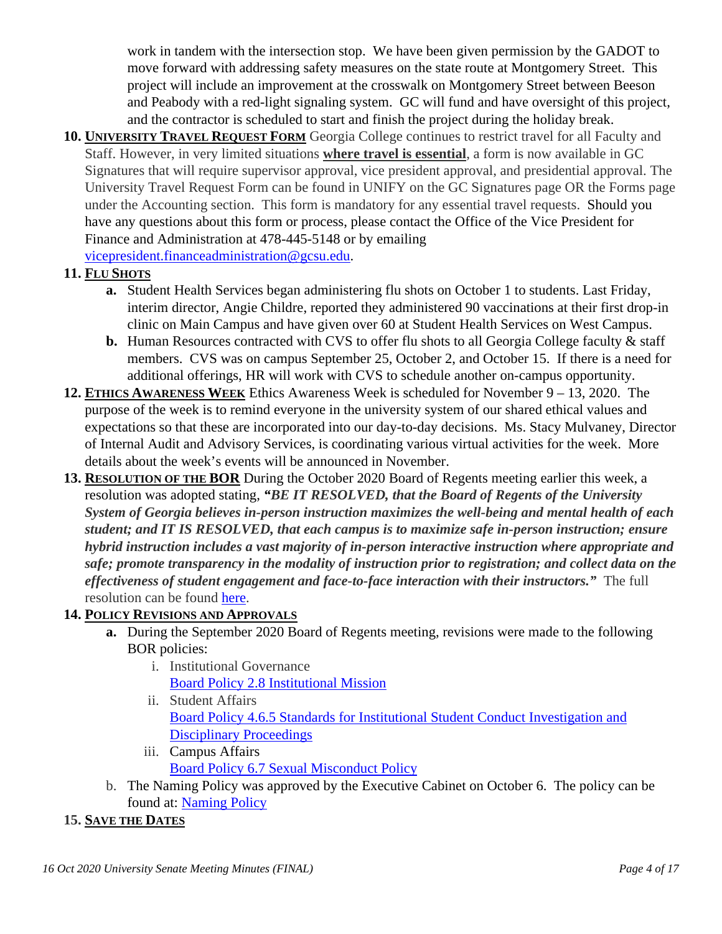work in tandem with the intersection stop. We have been given permission by the GADOT to move forward with addressing safety measures on the state route at Montgomery Street. This project will include an improvement at the crosswalk on Montgomery Street between Beeson and Peabody with a red-light signaling system. GC will fund and have oversight of this project, and the contractor is scheduled to start and finish the project during the holiday break.

**10. UNIVERSITY TRAVEL REQUEST FORM** Georgia College continues to restrict travel for all Faculty and Staff. However, in very limited situations **where travel is essential**, a form is now available in GC Signatures that will require supervisor approval, vice president approval, and presidential approval. The University Travel Request Form can be found in UNIFY on the GC Signatures page OR the Forms page under the Accounting section. This form is mandatory for any essential travel requests. Should you have any questions about this form or process, please contact the Office of the Vice President for Finance and Administration at 478-445-5148 or by emailing [vicepresident.financeadministration@gcsu.edu.](mailto:vicepresident.financeadministration@gcsu.edu)

**11. FLU SHOTS**

- **a.** Student Health Services began administering flu shots on October 1 to students. Last Friday, interim director, Angie Childre, reported they administered 90 vaccinations at their first drop-in clinic on Main Campus and have given over 60 at Student Health Services on West Campus.
- **b.** Human Resources contracted with CVS to offer flu shots to all Georgia College faculty & staff members. CVS was on campus September 25, October 2, and October 15. If there is a need for additional offerings, HR will work with CVS to schedule another on-campus opportunity.
- **12. ETHICS AWARENESS WEEK** Ethics Awareness Week is scheduled for November 9 13, 2020. The purpose of the week is to remind everyone in the university system of our shared ethical values and expectations so that these are incorporated into our day-to-day decisions. Ms. Stacy Mulvaney, Director of Internal Audit and Advisory Services, is coordinating various virtual activities for the week. More details about the week's events will be announced in November.
- **13. RESOLUTION OF THE BOR** During the October 2020 Board of Regents meeting earlier this week, a resolution was adopted stating, *"BE IT RESOLVED, that the Board of Regents of the University System of Georgia believes in-person instruction maximizes the well-being and mental health of each student; and IT IS RESOLVED, that each campus is to maximize safe in-person instruction; ensure hybrid instruction includes a vast majority of in-person interactive instruction where appropriate and safe; promote transparency in the modality of instruction prior to registration; and collect data on the effectiveness of student engagement and face-to-face interaction with their instructors."* The full resolution can be found [here.](https://frontpage.gcsu.edu/node/5895)

## **14. POLICY REVISIONS AND APPROVALS**

- **a.** During the September 2020 Board of Regents meeting, revisions were made to the following BOR policies:
	- i. Institutional Governance Board Policy 2.8 [Institutional](https://www.usg.edu/policymanual/section2/C324) Mission
	- ii. Student Affairs [Board Policy 4.6.5 Standards for Institutional Student Conduct Investigation and](https://www.usg.edu/policymanual/section4/C332/#p4.6.5_standards_for_institutional_student_conduct_investigation)  [Disciplinary Proceedings](https://www.usg.edu/policymanual/section4/C332/#p4.6.5_standards_for_institutional_student_conduct_investigation)
	- iii. Campus Affairs [Board Policy 6.7 Sexual Misconduct Policy](https://www.usg.edu/policymanual/section6/C2655)
- b. The Naming Policy was approved by the Executive Cabinet on October 6. The policy can be found at: [Naming Policy](https://nam11.safelinks.protection.outlook.com/?url=https%3A%2F%2Fwww.gcsu.edu%2Fsites%2Fdefault%2Ffiles%2Fdocuments%2F2020-10%2FGeorgia%2520College%2520Naming%2520Policy.pdf&data=04%7C01%7Cmonica.starley%40gcsu.edu%7C88747aec562e46744c3908d871119b84%7Cbfd29cfa8e7142e69abc953a6d6f07d6%7C0%7C0%7C637383667723774272%7CUnknown%7CTWFpbGZsb3d8eyJWIjoiMC4wLjAwMDAiLCJQIjoiV2luMzIiLCJBTiI6Ik1haWwiLCJXVCI6Mn0%3D%7C1000&sdata=6tVVjmaCeTqa0gpGNPgxJjeM6NNvNSMlxGoaSqKkk5g%3D&reserved=0)

## **15. SAVE THE DATES**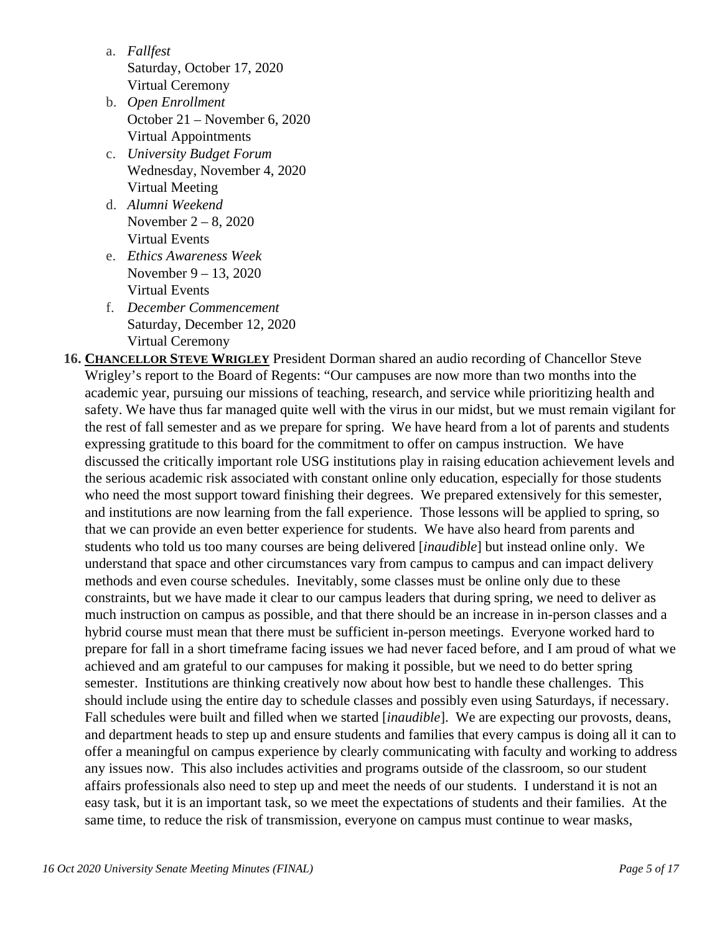- a. *Fallfest* Saturday, October 17, 2020 Virtual Ceremony
- b. *Open Enrollment* October 21 – November 6, 2020 Virtual Appointments
- c. *University Budget Forum* Wednesday, November 4, 2020 Virtual Meeting
- d. *Alumni Weekend* November 2 – 8, 2020 Virtual Events
- e. *Ethics Awareness Week* November 9 – 13, 2020 Virtual Events
- f. *December Commencement*  Saturday, December 12, 2020 Virtual Ceremony
- **16. CHANCELLOR STEVE WRIGLEY** President Dorman shared an audio recording of Chancellor Steve Wrigley's report to the Board of Regents: "Our campuses are now more than two months into the academic year, pursuing our missions of teaching, research, and service while prioritizing health and safety. We have thus far managed quite well with the virus in our midst, but we must remain vigilant for the rest of fall semester and as we prepare for spring. We have heard from a lot of parents and students expressing gratitude to this board for the commitment to offer on campus instruction. We have discussed the critically important role USG institutions play in raising education achievement levels and the serious academic risk associated with constant online only education, especially for those students who need the most support toward finishing their degrees. We prepared extensively for this semester, and institutions are now learning from the fall experience. Those lessons will be applied to spring, so that we can provide an even better experience for students. We have also heard from parents and students who told us too many courses are being delivered [*inaudible*] but instead online only. We understand that space and other circumstances vary from campus to campus and can impact delivery methods and even course schedules. Inevitably, some classes must be online only due to these constraints, but we have made it clear to our campus leaders that during spring, we need to deliver as much instruction on campus as possible, and that there should be an increase in in-person classes and a hybrid course must mean that there must be sufficient in-person meetings. Everyone worked hard to prepare for fall in a short timeframe facing issues we had never faced before, and I am proud of what we achieved and am grateful to our campuses for making it possible, but we need to do better spring semester. Institutions are thinking creatively now about how best to handle these challenges. This should include using the entire day to schedule classes and possibly even using Saturdays, if necessary. Fall schedules were built and filled when we started [*inaudible*]. We are expecting our provosts, deans, and department heads to step up and ensure students and families that every campus is doing all it can to offer a meaningful on campus experience by clearly communicating with faculty and working to address any issues now. This also includes activities and programs outside of the classroom, so our student affairs professionals also need to step up and meet the needs of our students. I understand it is not an easy task, but it is an important task, so we meet the expectations of students and their families. At the same time, to reduce the risk of transmission, everyone on campus must continue to wear masks,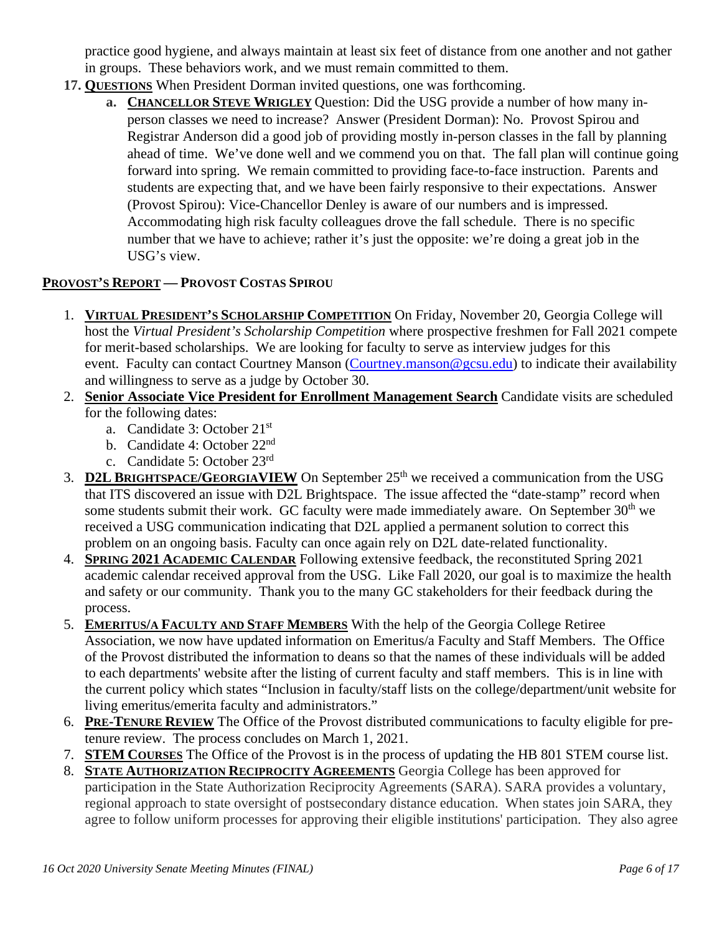practice good hygiene, and always maintain at least six feet of distance from one another and not gather in groups. These behaviors work, and we must remain committed to them.

- **17. QUESTIONS** When President Dorman invited questions, one was forthcoming.
	- **a. CHANCELLOR STEVE WRIGLEY** Question: Did the USG provide a number of how many inperson classes we need to increase? Answer (President Dorman): No. Provost Spirou and Registrar Anderson did a good job of providing mostly in-person classes in the fall by planning ahead of time. We've done well and we commend you on that. The fall plan will continue going forward into spring. We remain committed to providing face-to-face instruction. Parents and students are expecting that, and we have been fairly responsive to their expectations. Answer (Provost Spirou): Vice-Chancellor Denley is aware of our numbers and is impressed. Accommodating high risk faculty colleagues drove the fall schedule. There is no specific number that we have to achieve; rather it's just the opposite: we're doing a great job in the USG's view.

#### **PROVOST'S REPORT — PROVOST COSTAS SPIROU**

- 1. **VIRTUAL PRESIDENT'S SCHOLARSHIP COMPETITION** On Friday, November 20, Georgia College will host the *Virtual President's Scholarship Competition* where prospective freshmen for Fall 2021 compete for merit-based scholarships. We are looking for faculty to serve as interview judges for this event. Faculty can contact Courtney Manson (Courtney manson@gcsu.edu) to indicate their availability and willingness to serve as a judge by October 30.
- 2. **Senior Associate Vice President for Enrollment Management Search** Candidate visits are scheduled for the following dates:
	- a. Candidate 3: October 21st
	- b. Candidate 4: October 22nd
	- c. Candidate 5: October 23rd
- 3. **D2L BRIGHTSPACE/GEORGIAVIEW** On September 25<sup>th</sup> we received a communication from the USG that ITS discovered an issue with D2L Brightspace. The issue affected the "date-stamp" record when some students submit their work. GC faculty were made immediately aware. On September  $30<sup>th</sup>$  we received a USG communication indicating that D2L applied a permanent solution to correct this problem on an ongoing basis. Faculty can once again rely on D2L date-related functionality.
- 4. **SPRING 2021 ACADEMIC CALENDAR** Following extensive feedback, the reconstituted Spring 2021 academic calendar received approval from the USG. Like Fall 2020, our goal is to maximize the health and safety or our community. Thank you to the many GC stakeholders for their feedback during the process.
- 5. **EMERITUS/A FACULTY AND STAFF MEMBERS** With the help of the Georgia College Retiree Association, we now have updated information on Emeritus/a Faculty and Staff Members. The Office of the Provost distributed the information to deans so that the names of these individuals will be added to each departments' website after the listing of current faculty and staff members. This is in line with the current policy which states "Inclusion in faculty/staff lists on the college/department/unit website for living emeritus/emerita faculty and administrators."
- 6. **PRE-TENURE REVIEW** The Office of the Provost distributed communications to faculty eligible for pretenure review. The process concludes on March 1, 2021.
- 7. **STEM COURSES** The Office of the Provost is in the process of updating the HB 801 STEM course list.
- 8. **STATE AUTHORIZATION RECIPROCITY AGREEMENTS** Georgia College has been approved for participation in the State Authorization Reciprocity Agreements (SARA). SARA provides a voluntary, regional approach to state oversight of postsecondary distance education. When states join SARA, they agree to follow uniform processes for approving their eligible institutions' participation. They also agree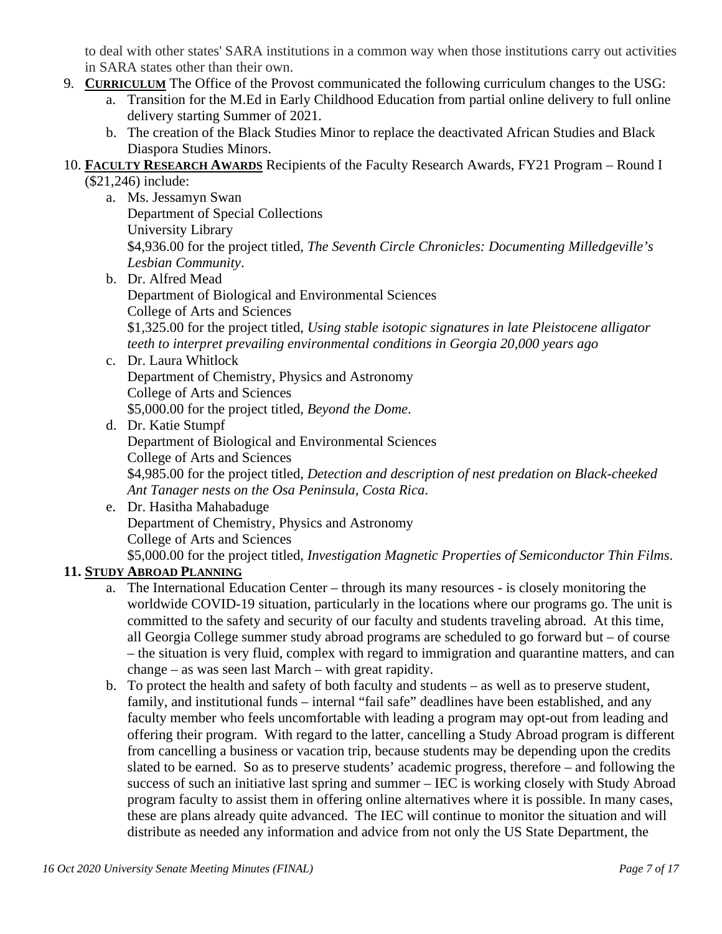to deal with other states' SARA institutions in a common way when those institutions carry out activities in SARA states other than their own.

- 9. **CURRICULUM** The Office of the Provost communicated the following curriculum changes to the USG:
	- a. Transition for the M.Ed in Early Childhood Education from partial online delivery to full online delivery starting Summer of 2021.
	- b. The creation of the Black Studies Minor to replace the deactivated African Studies and Black Diaspora Studies Minors.
- 10. **FACULTY RESEARCH AWARDS** Recipients of the Faculty Research Awards, FY21 Program Round I
	- (\$21,246) include:
		- a. Ms. Jessamyn Swan Department of Special Collections University Library \$4,936.00 for the project titled, *The Seventh Circle Chronicles: Documenting Milledgeville's Lesbian Community*.
		- b. Dr. Alfred Mead Department of Biological and Environmental Sciences College of Arts and Sciences \$1,325.00 for the project titled, *Using stable isotopic signatures in late Pleistocene alligator teeth to interpret prevailing environmental conditions in Georgia 20,000 years ago*
		- c. Dr. Laura Whitlock Department of Chemistry, Physics and Astronomy College of Arts and Sciences \$5,000.00 for the project titled, *Beyond the Dome*.
		- d. Dr. Katie Stumpf Department of Biological and Environmental Sciences College of Arts and Sciences \$4,985.00 for the project titled, *Detection and description of nest predation on Black-cheeked Ant Tanager nests on the Osa Peninsula, Costa Rica*.
		- e. Dr. Hasitha Mahabaduge Department of Chemistry, Physics and Astronomy College of Arts and Sciences \$5,000.00 for the project titled, *Investigation Magnetic Properties of Semiconductor Thin Films*.

## **11. STUDY ABROAD PLANNING**

- a. The International Education Center through its many resources is closely monitoring the worldwide COVID-19 situation, particularly in the locations where our programs go. The unit is committed to the safety and security of our faculty and students traveling abroad. At this time, all Georgia College summer study abroad programs are scheduled to go forward but – of course – the situation is very fluid, complex with regard to immigration and quarantine matters, and can change – as was seen last March – with great rapidity.
- b. To protect the health and safety of both faculty and students as well as to preserve student, family, and institutional funds – internal "fail safe" deadlines have been established, and any faculty member who feels uncomfortable with leading a program may opt-out from leading and offering their program. With regard to the latter, cancelling a Study Abroad program is different from cancelling a business or vacation trip, because students may be depending upon the credits slated to be earned. So as to preserve students' academic progress, therefore – and following the success of such an initiative last spring and summer – IEC is working closely with Study Abroad program faculty to assist them in offering online alternatives where it is possible. In many cases, these are plans already quite advanced. The IEC will continue to monitor the situation and will distribute as needed any information and advice from not only the US State Department, the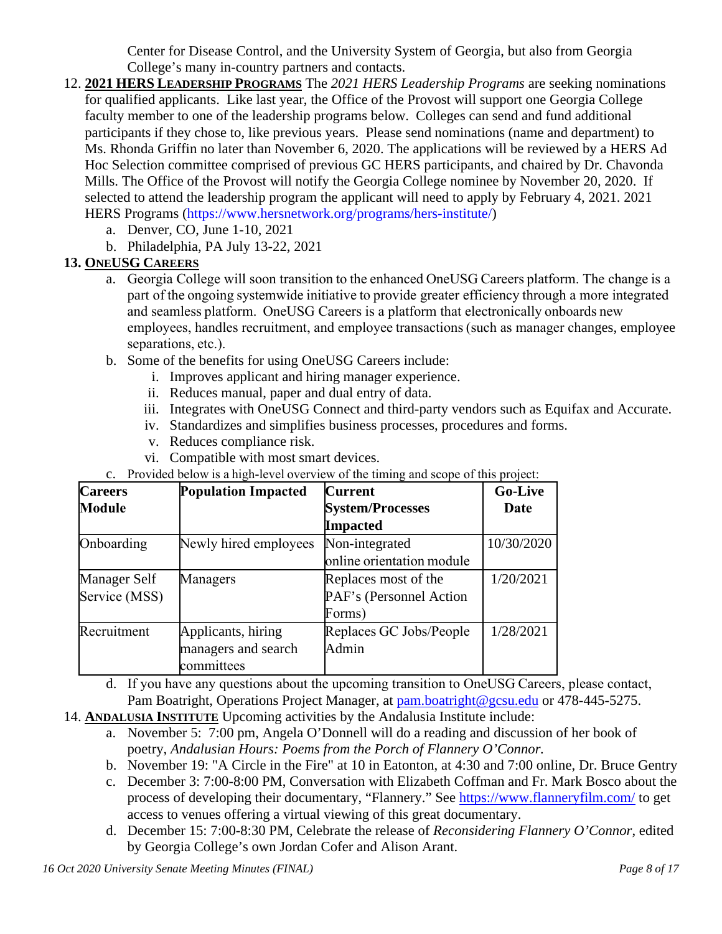Center for Disease Control, and the University System of Georgia, but also from Georgia College's many in-country partners and contacts.

- 12. **2021 HERS LEADERSHIP PROGRAMS** The *2021 HERS Leadership Programs* are seeking nominations for qualified applicants. Like last year, the Office of the Provost will support one Georgia College faculty member to one of the leadership programs below. Colleges can send and fund additional participants if they chose to, like previous years. Please send nominations (name and department) to Ms. Rhonda Griffin no later than November 6, 2020. The applications will be reviewed by a HERS Ad Hoc Selection committee comprised of previous GC HERS participants, and chaired by Dr. Chavonda Mills. The Office of the Provost will notify the Georgia College nominee by November 20, 2020. If selected to attend the leadership program the applicant will need to apply by February 4, 2021. 2021 HERS Programs [\(https://www.hersnetwork.org/programs/hers-institute/\)](https://nam11.safelinks.protection.outlook.com/?url=https%3A%2F%2Fwww.hersnetwork.org%2Fprograms%2Fhers-institute%2F&data=02%7C01%7Ccostas.spirou%40gcsu.edu%7Cdaad5b56835647ddd34508d86a21ae8d%7Cbfd29cfa8e7142e69abc953a6d6f07d6%7C0%7C0%7C637376040945971428&sdata=SJeHN4Z8QOk1iJWMpFd%2FtBZSpI3kZQj%2FB0rFFRSlKmA%3D&reserved=0)
	- a. Denver, CO, June 1-10, 2021
	- b. Philadelphia, PA July 13-22, 2021

## **13. ONEUSG CAREERS**

- a. Georgia College will soon transition to the enhanced OneUSG Careers platform. The change is a part of the ongoing systemwide initiative to provide greater efficiency through a more integrated and seamless platform.  OneUSG Careers is a platform that electronically onboards new employees, handles recruitment, and employee transactions (such as manager changes, employee separations, etc.).
- b. Some of the benefits for using OneUSG Careers include:
	- i. Improves applicant and hiring manager experience.
	- ii. Reduces manual, paper and dual entry of data.
	- iii. Integrates with OneUSG Connect and third-party vendors such as Equifax and Accurate.
	- iv. Standardizes and simplifies business processes, procedures and forms.
	- v. Reduces compliance risk.
	- vi. Compatible with most smart devices.
- c. Provided below is a high-level overview of the timing and scope of this project:

| <b>Careers</b>      | <b>Population Impacted</b> | <b>Current</b>            | <b>Go-Live</b> |
|---------------------|----------------------------|---------------------------|----------------|
| <b>Module</b>       |                            | <b>System/Processes</b>   | Date           |
|                     |                            | Impacted                  |                |
| Onboarding          | Newly hired employees      | Non-integrated            | 10/30/2020     |
|                     |                            | online orientation module |                |
| <b>Manager Self</b> | Managers                   | Replaces most of the      | 1/20/2021      |
| Service (MSS)       |                            | PAF's (Personnel Action   |                |
|                     |                            | Forms)                    |                |
| Recruitment         | Applicants, hiring         | Replaces GC Jobs/People   | 1/28/2021      |
|                     | managers and search        | Admin                     |                |
|                     | committees                 |                           |                |

- d. If you have any questions about the upcoming transition to OneUSG Careers, please contact, Pam Boatright, Operations Project Manager, at [pam.boatright@gcsu.edu](mailto:pam.boatright@gcsu.edu) or 478-445-5275.
- 14. **ANDALUSIA INSTITUTE** Upcoming activities by the Andalusia Institute include:
	- a. November 5: 7:00 pm, Angela O'Donnell will do a reading and discussion of her book of poetry, *Andalusian Hours: Poems from the Porch of Flannery O'Connor.*
	- b. November 19: "A Circle in the Fire" at 10 in Eatonton, at 4:30 and 7:00 online, Dr. Bruce Gentry
	- c. December 3: 7:00-8:00 PM, Conversation with Elizabeth Coffman and Fr. Mark Bosco about the process of developing their documentary, "Flannery." See [https://www.flanneryfilm.com/](https://nam11.safelinks.protection.outlook.com/?url=https%3A%2F%2Fwww.flanneryfilm.com%2F&data=02%7C01%7Ccostas.spirou%40gcsu.edu%7C0aa047fc539c4e46325308d86ad91a7f%7Cbfd29cfa8e7142e69abc953a6d6f07d6%7C0%7C0%7C637376827966651331&sdata=JjYG1l2dAy0fdlEN2zpIj1MG3mKz1o39R%2F01iifS3pQ%3D&reserved=0) to get access to venues offering a virtual viewing of this great documentary.
	- d. December 15: 7:00-8:30 PM, Celebrate the release of *Reconsidering Flannery O'Connor*, edited by Georgia College's own Jordan Cofer and Alison Arant.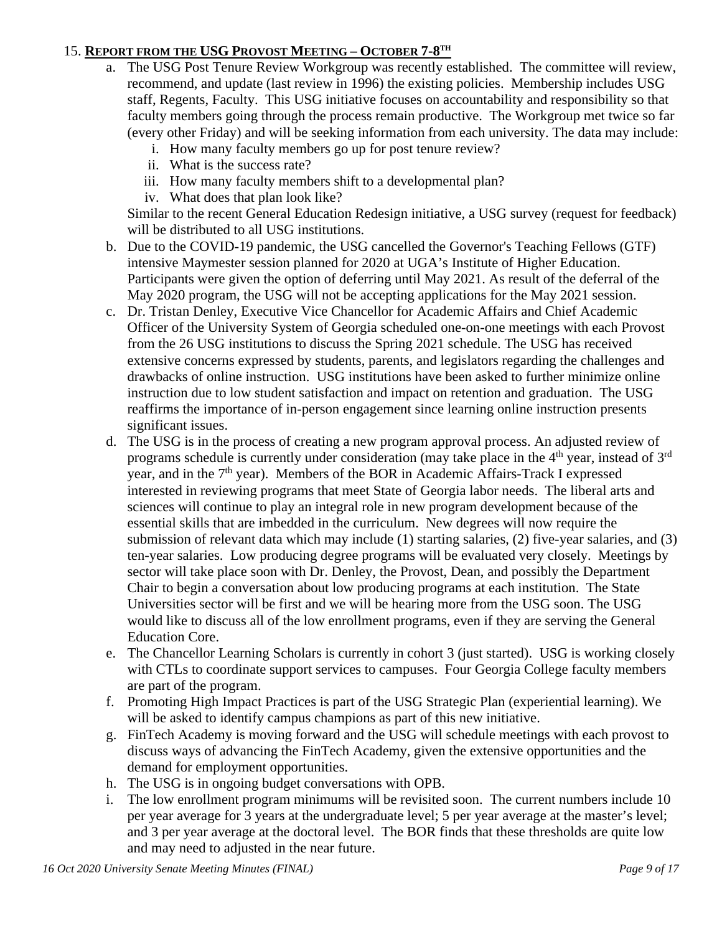#### 15. **REPORT FROM THE USG PROVOST MEETING – OCTOBER 7-8TH**

- a. The USG Post Tenure Review Workgroup was recently established. The committee will review, recommend, and update (last review in 1996) the existing policies. Membership includes USG staff, Regents, Faculty. This USG initiative focuses on accountability and responsibility so that faculty members going through the process remain productive. The Workgroup met twice so far (every other Friday) and will be seeking information from each university. The data may include:
	- i. How many faculty members go up for post tenure review?
	- ii. What is the success rate?
	- iii. How many faculty members shift to a developmental plan?
	- iv. What does that plan look like?

Similar to the recent General Education Redesign initiative, a USG survey (request for feedback) will be distributed to all USG institutions.

- b. Due to the COVID-19 pandemic, the USG cancelled the Governor's Teaching Fellows (GTF) intensive Maymester session planned for 2020 at UGA's Institute of Higher Education. Participants were given the option of deferring until May 2021. As result of the deferral of the May 2020 program, the USG will not be accepting applications for the May 2021 session.
- c. Dr. Tristan Denley, Executive Vice Chancellor for Academic Affairs and Chief Academic Officer of the University System of Georgia scheduled one-on-one meetings with each Provost from the 26 USG institutions to discuss the Spring 2021 schedule. The USG has received extensive concerns expressed by students, parents, and legislators regarding the challenges and drawbacks of online instruction. USG institutions have been asked to further minimize online instruction due to low student satisfaction and impact on retention and graduation. The USG reaffirms the importance of in-person engagement since learning online instruction presents significant issues.
- d. The USG is in the process of creating a new program approval process. An adjusted review of programs schedule is currently under consideration (may take place in the  $4<sup>th</sup>$  year, instead of  $3<sup>rd</sup>$ year, and in the 7<sup>th</sup> year). Members of the BOR in Academic Affairs-Track I expressed interested in reviewing programs that meet State of Georgia labor needs. The liberal arts and sciences will continue to play an integral role in new program development because of the essential skills that are imbedded in the curriculum. New degrees will now require the submission of relevant data which may include (1) starting salaries, (2) five-year salaries, and (3) ten-year salaries. Low producing degree programs will be evaluated very closely. Meetings by sector will take place soon with Dr. Denley, the Provost, Dean, and possibly the Department Chair to begin a conversation about low producing programs at each institution. The State Universities sector will be first and we will be hearing more from the USG soon. The USG would like to discuss all of the low enrollment programs, even if they are serving the General Education Core.
- e. The Chancellor Learning Scholars is currently in cohort 3 (just started). USG is working closely with CTLs to coordinate support services to campuses. Four Georgia College faculty members are part of the program.
- f. Promoting High Impact Practices is part of the USG Strategic Plan (experiential learning). We will be asked to identify campus champions as part of this new initiative.
- g. FinTech Academy is moving forward and the USG will schedule meetings with each provost to discuss ways of advancing the FinTech Academy, given the extensive opportunities and the demand for employment opportunities.
- h. The USG is in ongoing budget conversations with OPB.
- i. The low enrollment program minimums will be revisited soon. The current numbers include 10 per year average for 3 years at the undergraduate level; 5 per year average at the master's level; and 3 per year average at the doctoral level. The BOR finds that these thresholds are quite low and may need to adjusted in the near future.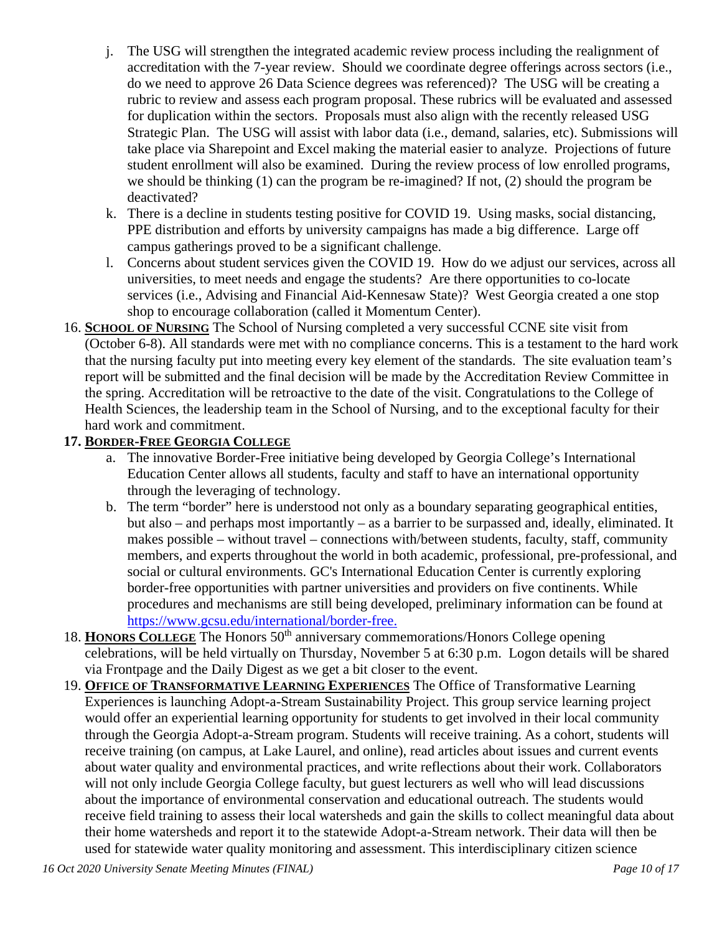- j. The USG will strengthen the integrated academic review process including the realignment of accreditation with the 7-year review. Should we coordinate degree offerings across sectors (i.e., do we need to approve 26 Data Science degrees was referenced)? The USG will be creating a rubric to review and assess each program proposal. These rubrics will be evaluated and assessed for duplication within the sectors. Proposals must also align with the recently released USG Strategic Plan. The USG will assist with labor data (i.e., demand, salaries, etc). Submissions will take place via Sharepoint and Excel making the material easier to analyze. Projections of future student enrollment will also be examined. During the review process of low enrolled programs, we should be thinking (1) can the program be re-imagined? If not, (2) should the program be deactivated?
- k. There is a decline in students testing positive for COVID 19. Using masks, social distancing, PPE distribution and efforts by university campaigns has made a big difference. Large off campus gatherings proved to be a significant challenge.
- l. Concerns about student services given the COVID 19. How do we adjust our services, across all universities, to meet needs and engage the students? Are there opportunities to co-locate services (i.e., Advising and Financial Aid-Kennesaw State)? West Georgia created a one stop shop to encourage collaboration (called it Momentum Center).
- 16. **SCHOOL OF NURSING** The School of Nursing completed a very successful CCNE site visit from (October 6-8). All standards were met with no compliance concerns. This is a testament to the hard work that the nursing faculty put into meeting every key element of the standards. The site evaluation team's report will be submitted and the final decision will be made by the Accreditation Review Committee in the spring. Accreditation will be retroactive to the date of the visit. Congratulations to the College of Health Sciences, the leadership team in the School of Nursing, and to the exceptional faculty for their hard work and commitment.

#### **17. BORDER-FREE GEORGIA COLLEGE**

- a. The innovative Border-Free initiative being developed by Georgia College's International Education Center allows all students, faculty and staff to have an international opportunity through the leveraging of technology.
- b. The term "border" here is understood not only as a boundary separating geographical entities, but also – and perhaps most importantly – as a barrier to be surpassed and, ideally, eliminated. It makes possible – without travel – connections with/between students, faculty, staff, community members, and experts throughout the world in both academic, professional, pre-professional, and social or cultural environments. GC's International Education Center is currently exploring border-free opportunities with partner universities and providers on five continents. While procedures and mechanisms are still being developed, preliminary information can be found at [https://www.gcsu.edu/international/border-free.](https://www.gcsu.edu/international/border-free)
- 18. **HONORS COLLEGE** The Honors 50<sup>th</sup> anniversary commemorations/Honors College opening celebrations, will be held virtually on Thursday, November 5 at 6:30 p.m. Logon details will be shared via Frontpage and the Daily Digest as we get a bit closer to the event.
- 19. **OFFICE OF TRANSFORMATIVE LEARNING EXPERIENCES** The Office of Transformative Learning Experiences is launching Adopt-a-Stream Sustainability Project. This group service learning project would offer an experiential learning opportunity for students to get involved in their local community through the Georgia Adopt-a-Stream program. Students will receive training. As a cohort, students will receive training (on campus, at Lake Laurel, and online), read articles about issues and current events about water quality and environmental practices, and write reflections about their work. Collaborators will not only include Georgia College faculty, but guest lecturers as well who will lead discussions about the importance of environmental conservation and educational outreach. The students would receive field training to assess their local watersheds and gain the skills to collect meaningful data about their home watersheds and report it to the statewide Adopt-a-Stream network. Their data will then be used for statewide water quality monitoring and assessment. This interdisciplinary citizen science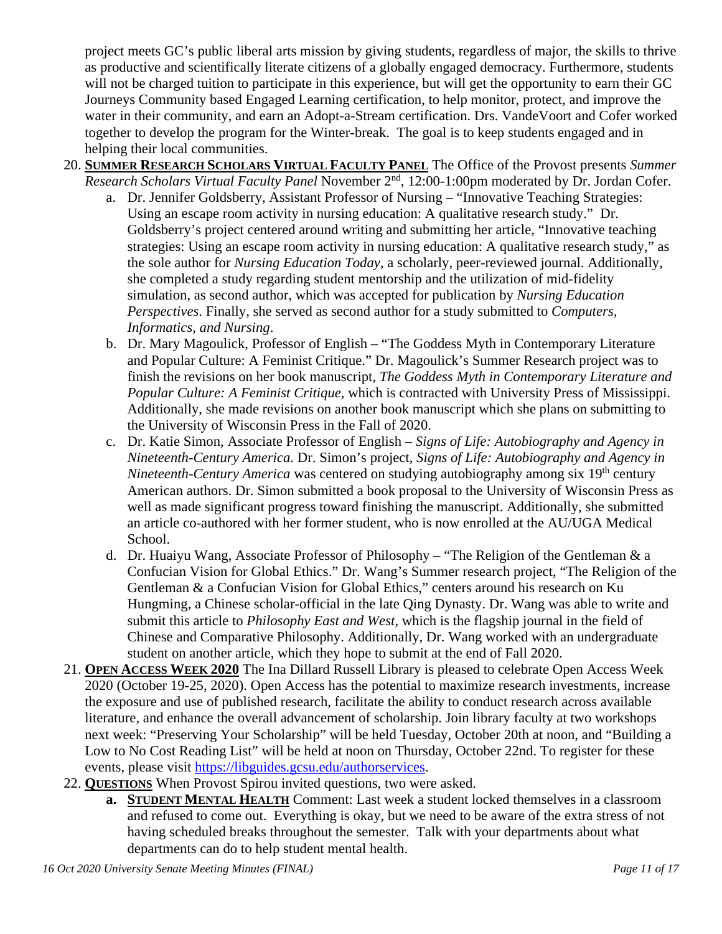project meets GC's public liberal arts mission by giving students, regardless of major, the skills to thrive as productive and scientifically literate citizens of a globally engaged democracy. Furthermore, students will not be charged tuition to participate in this experience, but will get the opportunity to earn their GC Journeys Community based Engaged Learning certification, to help monitor, protect, and improve the water in their community, and earn an Adopt-a-Stream certification. Drs. VandeVoort and Cofer worked together to develop the program for the Winter-break. The goal is to keep students engaged and in helping their local communities.

- 20. **SUMMER RESEARCH SCHOLARS VIRTUAL FACULTY PANEL** The Office of the Provost presents *Summer Research Scholars Virtual Faculty Panel* November 2nd, 12:00-1:00pm moderated by Dr. Jordan Cofer.
	- a. Dr. Jennifer Goldsberry, Assistant Professor of Nursing "Innovative Teaching Strategies: Using an escape room activity in nursing education: A qualitative research study."Dr. Goldsberry's project centered around writing and submitting her article, "Innovative teaching strategies: Using an escape room activity in nursing education: A qualitative research study," as the sole author for *Nursing Education Today*, a scholarly, peer-reviewed journal. Additionally, she completed a study regarding student mentorship and the utilization of mid-fidelity simulation, as second author, which was accepted for publication by *Nursing Education Perspectives*. Finally, she served as second author for a study submitted to *Computers, Informatics, and Nursing*.
	- b. Dr. Mary Magoulick, Professor of English "The Goddess Myth in Contemporary Literature and Popular Culture: A Feminist Critique." Dr. Magoulick's Summer Research project was to finish the revisions on her book manuscript, *The Goddess Myth in Contemporary Literature and Popular Culture: A Feminist Critique,* which is contracted with University Press of Mississippi. Additionally, she made revisions on another book manuscript which she plans on submitting to the University of Wisconsin Press in the Fall of 2020.
	- c. Dr. Katie Simon, Associate Professor of English *Signs of Life: Autobiography and Agency in Nineteenth-Century America.* Dr. Simon's project, *Signs of Life: Autobiography and Agency in Nineteenth-Century America* was centered on studying autobiography among six 19<sup>th</sup> century American authors. Dr. Simon submitted a book proposal to the University of Wisconsin Press as well as made significant progress toward finishing the manuscript. Additionally, she submitted an article co-authored with her former student, who is now enrolled at the AU/UGA Medical School.
	- d. Dr. Huaiyu Wang, Associate Professor of Philosophy "The Religion of the Gentleman & a Confucian Vision for Global Ethics." Dr. Wang's Summer research project, "The Religion of the Gentleman & a Confucian Vision for Global Ethics," centers around his research on Ku Hungming, a Chinese scholar-official in the late Qing Dynasty. Dr. Wang was able to write and submit this article to *Philosophy East and West,* which is the flagship journal in the field of Chinese and Comparative Philosophy. Additionally, Dr. Wang worked with an undergraduate student on another article, which they hope to submit at the end of Fall 2020.
- 21. **OPEN ACCESS WEEK 2020** The Ina Dillard Russell Library is pleased to celebrate Open Access Week 2020 (October 19-25, 2020). Open Access has the potential to maximize research investments, increase the exposure and use of published research, facilitate the ability to conduct research across available literature, and enhance the overall advancement of scholarship. Join library faculty at two workshops next week: "Preserving Your Scholarship" will be held Tuesday, October 20th at noon, and "Building a Low to No Cost Reading List" will be held at noon on Thursday, October 22nd. To register for these events, please visit [https://libguides.gcsu.edu/authorservices.](https://nam11.safelinks.protection.outlook.com/?url=https%3A%2F%2Flibguides.gcsu.edu%2Fauthorservices&data=04%7C01%7Calex.blazer%40gcsu.edu%7C2225d8ef54f8435fb24f08d875d0de0e%7Cbfd29cfa8e7142e69abc953a6d6f07d6%7C0%7C0%7C637388887226581848%7CUnknown%7CTWFpbGZsb3d8eyJWIjoiMC4wLjAwMDAiLCJQIjoiV2luMzIiLCJBTiI6Ik1haWwiLCJXVCI6Mn0%3D%7C1000&sdata=aQE3lfqAolKJczJ3oCfkJK7vUv9FfPvhgONLP%2Fc71rI%3D&reserved=0)
- 22. **QUESTIONS** When Provost Spirou invited questions, two were asked.
	- **a. STUDENT MENTAL HEALTH** Comment: Last week a student locked themselves in a classroom and refused to come out. Everything is okay, but we need to be aware of the extra stress of not having scheduled breaks throughout the semester. Talk with your departments about what departments can do to help student mental health.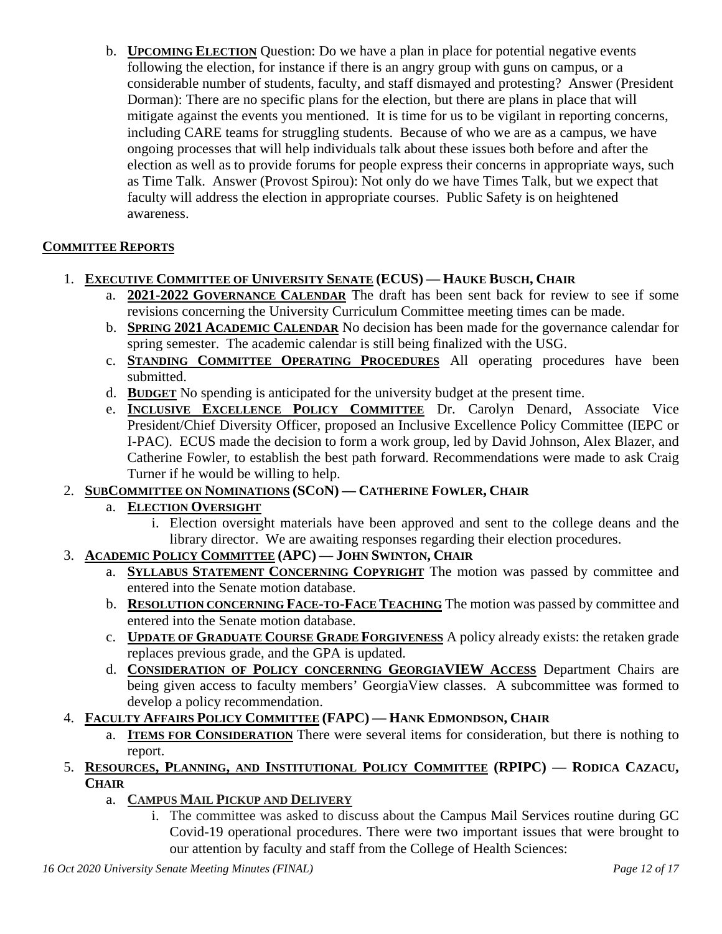b. **UPCOMING ELECTION** Question: Do we have a plan in place for potential negative events following the election, for instance if there is an angry group with guns on campus, or a considerable number of students, faculty, and staff dismayed and protesting? Answer (President Dorman): There are no specific plans for the election, but there are plans in place that will mitigate against the events you mentioned. It is time for us to be vigilant in reporting concerns, including CARE teams for struggling students. Because of who we are as a campus, we have ongoing processes that will help individuals talk about these issues both before and after the election as well as to provide forums for people express their concerns in appropriate ways, such as Time Talk. Answer (Provost Spirou): Not only do we have Times Talk, but we expect that faculty will address the election in appropriate courses. Public Safety is on heightened awareness.

## **COMMITTEE REPORTS**

- 1. **EXECUTIVE COMMITTEE OF UNIVERSITY SENATE (ECUS) — HAUKE BUSCH, CHAIR**
	- a. **2021-2022 GOVERNANCE CALENDAR** The draft has been sent back for review to see if some revisions concerning the University Curriculum Committee meeting times can be made.
	- b. **SPRING 2021 ACADEMIC CALENDAR** No decision has been made for the governance calendar for spring semester. The academic calendar is still being finalized with the USG.
	- c. **STANDING COMMITTEE OPERATING PROCEDURES** All operating procedures have been submitted.
	- d. **BUDGET** No spending is anticipated for the university budget at the present time.
	- e. **INCLUSIVE EXCELLENCE POLICY COMMITTEE** Dr. Carolyn Denard, Associate Vice President/Chief Diversity Officer, proposed an Inclusive Excellence Policy Committee (IEPC or I-PAC). ECUS made the decision to form a work group, led by David Johnson, Alex Blazer, and Catherine Fowler, to establish the best path forward. Recommendations were made to ask Craig Turner if he would be willing to help.
- 2. **SUBCOMMITTEE ON NOMINATIONS (SCON) — CATHERINE FOWLER, CHAIR**

#### a. **ELECTION OVERSIGHT**

- i. Election oversight materials have been approved and sent to the college deans and the library director. We are awaiting responses regarding their election procedures.
- 3. **ACADEMIC POLICY COMMITTEE (APC) — JOHN SWINTON, CHAIR**
	- a. **SYLLABUS STATEMENT CONCERNING COPYRIGHT** The motion was passed by committee and entered into the Senate motion database.
	- b. **RESOLUTION CONCERNING FACE-TO-FACE TEACHING** The motion was passed by committee and entered into the Senate motion database.
	- c. **UPDATE OF GRADUATE COURSE GRADE FORGIVENESS** A policy already exists: the retaken grade replaces previous grade, and the GPA is updated.
	- d. **CONSIDERATION OF POLICY CONCERNING GEORGIAVIEW ACCESS** Department Chairs are being given access to faculty members' GeorgiaView classes. A subcommittee was formed to develop a policy recommendation.
- 4. **FACULTY AFFAIRS POLICY COMMITTEE (FAPC) — HANK EDMONDSON, CHAIR**
	- a. **ITEMS FOR CONSIDERATION** There were several items for consideration, but there is nothing to report.
- 5. **RESOURCES, PLANNING, AND INSTITUTIONAL POLICY COMMITTEE (RPIPC) — RODICA CAZACU, CHAIR**
	- a. **CAMPUS MAIL PICKUP AND DELIVERY**
		- i. The committee was asked to discuss about the Campus Mail Services routine during GC Covid-19 operational procedures. There were two important issues that were brought to our attention by faculty and staff from the College of Health Sciences: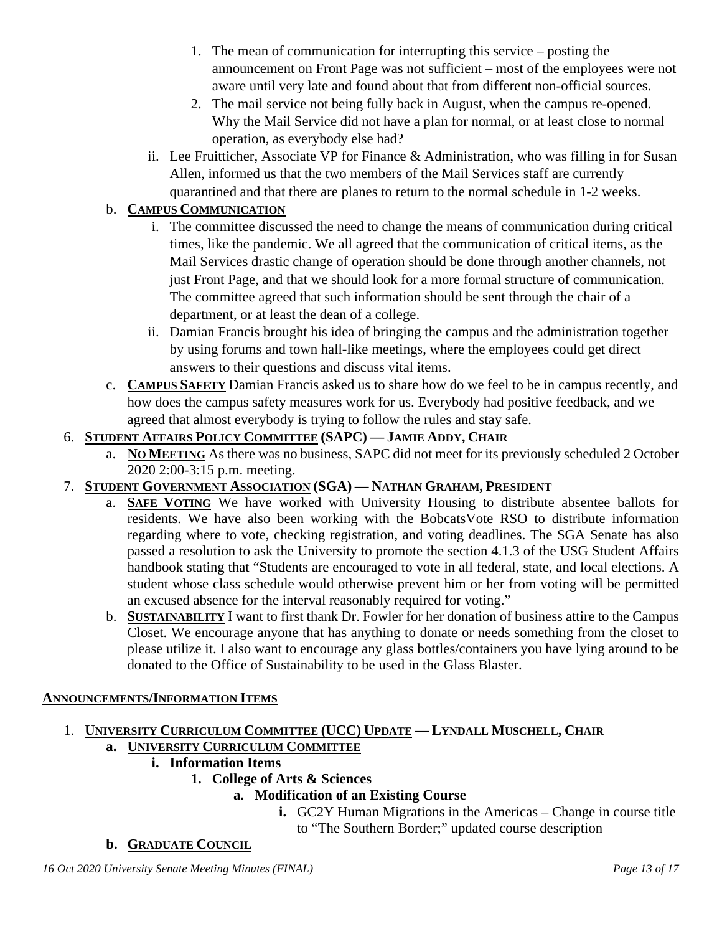- 1. The mean of communication for interrupting this service posting the announcement on Front Page was not sufficient – most of the employees were not aware until very late and found about that from different non-official sources.
- 2. The mail service not being fully back in August, when the campus re-opened. Why the Mail Service did not have a plan for normal, or at least close to normal operation, as everybody else had?
- ii. Lee Fruitticher, Associate VP for Finance & Administration, who was filling in for Susan Allen, informed us that the two members of the Mail Services staff are currently quarantined and that there are planes to return to the normal schedule in 1-2 weeks.

## b. **CAMPUS COMMUNICATION**

- i. The committee discussed the need to change the means of communication during critical times, like the pandemic. We all agreed that the communication of critical items, as the Mail Services drastic change of operation should be done through another channels, not just Front Page, and that we should look for a more formal structure of communication. The committee agreed that such information should be sent through the chair of a department, or at least the dean of a college.
- ii. Damian Francis brought his idea of bringing the campus and the administration together by using forums and town hall-like meetings, where the employees could get direct answers to their questions and discuss vital items.
- c. **CAMPUS SAFETY** Damian Francis asked us to share how do we feel to be in campus recently, and how does the campus safety measures work for us. Everybody had positive feedback, and we agreed that almost everybody is trying to follow the rules and stay safe.

## 6. **STUDENT AFFAIRS POLICY COMMITTEE (SAPC) — JAMIE ADDY, CHAIR**

a. **NO MEETING** As there was no business, SAPC did not meet for its previously scheduled 2 October 2020 2:00-3:15 p.m. meeting.

## 7. **STUDENT GOVERNMENT ASSOCIATION (SGA) — NATHAN GRAHAM, PRESIDENT**

- a. **SAFE VOTING** We have worked with University Housing to distribute absentee ballots for residents. We have also been working with the BobcatsVote RSO to distribute information regarding where to vote, checking registration, and voting deadlines. The SGA Senate has also passed a resolution to ask the University to promote the section 4.1.3 of the USG Student Affairs handbook stating that "Students are encouraged to vote in all federal, state, and local elections. A student whose class schedule would otherwise prevent him or her from voting will be permitted an excused absence for the interval reasonably required for voting."
- b. **SUSTAINABILITY** I want to first thank Dr. Fowler for her donation of business attire to the Campus Closet. We encourage anyone that has anything to donate or needs something from the closet to please utilize it. I also want to encourage any glass bottles/containers you have lying around to be donated to the Office of Sustainability to be used in the Glass Blaster.

#### **ANNOUNCEMENTS/INFORMATION ITEMS**

# 1. **UNIVERSITY CURRICULUM COMMITTEE (UCC) UPDATE — LYNDALL MUSCHELL, CHAIR**

# **a. UNIVERSITY CURRICULUM COMMITTEE**

- **i. Information Items**
	- **1. College of Arts & Sciences**
		- **a. Modification of an Existing Course**
			- **i.** GC2Y Human Migrations in the Americas Change in course title to "The Southern Border;" updated course description

## **b. GRADUATE COUNCIL**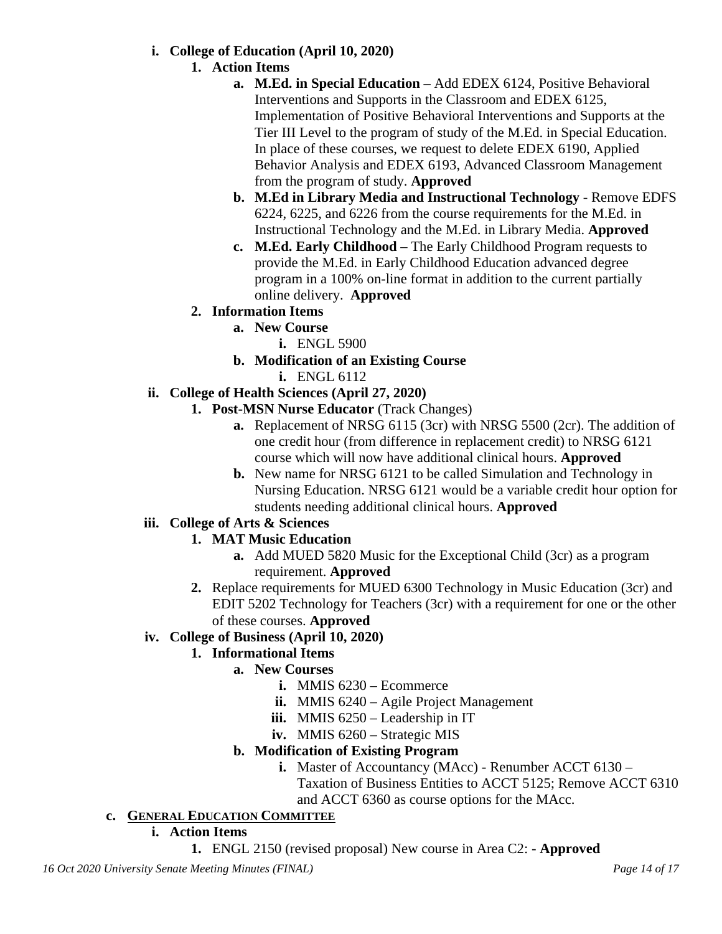#### **i. College of Education (April 10, 2020)**

- **1. Action Items**
	- **a. M.Ed. in Special Education** Add EDEX 6124, Positive Behavioral Interventions and Supports in the Classroom and EDEX 6125, Implementation of Positive Behavioral Interventions and Supports at the Tier III Level to the program of study of the M.Ed. in Special Education. In place of these courses, we request to delete EDEX 6190, Applied Behavior Analysis and EDEX 6193, Advanced Classroom Management from the program of study. **Approved**
	- **b. M.Ed in Library Media and Instructional Technology** Remove EDFS 6224, 6225, and 6226 from the course requirements for the M.Ed. in Instructional Technology and the M.Ed. in Library Media. **Approved**
	- **c. M.Ed. Early Childhood** The Early Childhood Program requests to provide the M.Ed. in Early Childhood Education advanced degree program in a 100% on-line format in addition to the current partially online delivery. **Approved**

## **2. Information Items**

- **a. New Course** 
	- **i.** ENGL 5900
- **b. Modification of an Existing Course**
	- **i.** ENGL 6112

#### **ii. College of Health Sciences (April 27, 2020)**

- **1. Post-MSN Nurse Educator** (Track Changes)
	- **a.** Replacement of NRSG 6115 (3cr) with NRSG 5500 (2cr). The addition of one credit hour (from difference in replacement credit) to NRSG 6121 course which will now have additional clinical hours. **Approved**
	- **b.** New name for NRSG 6121 to be called Simulation and Technology in Nursing Education. NRSG 6121 would be a variable credit hour option for students needing additional clinical hours. **Approved**

#### **iii. College of Arts & Sciences**

- **1. MAT Music Education**
	- **a.** Add MUED 5820 Music for the Exceptional Child (3cr) as a program requirement. **Approved**
- **2.** Replace requirements for MUED 6300 Technology in Music Education (3cr) and EDIT 5202 Technology for Teachers (3cr) with a requirement for one or the other of these courses. **Approved**

## **iv. College of Business (April 10, 2020)**

## **1. Informational Items**

- **a. New Courses**
	- **i.** MMIS 6230 Ecommerce
	- **ii.** MMIS 6240 Agile Project Management
	- **iii.** MMIS 6250 Leadership in IT
	- **iv.** MMIS 6260 Strategic MIS

## **b. Modification of Existing Program**

- **i.** Master of Accountancy (MAcc) Renumber ACCT 6130
	- Taxation of Business Entities to ACCT 5125; Remove ACCT 6310 and ACCT 6360 as course options for the MAcc.
- **c. GENERAL EDUCATION COMMITTEE**

## **i. Action Items**

**1.** ENGL 2150 (revised proposal) New course in Area C2: - **Approved**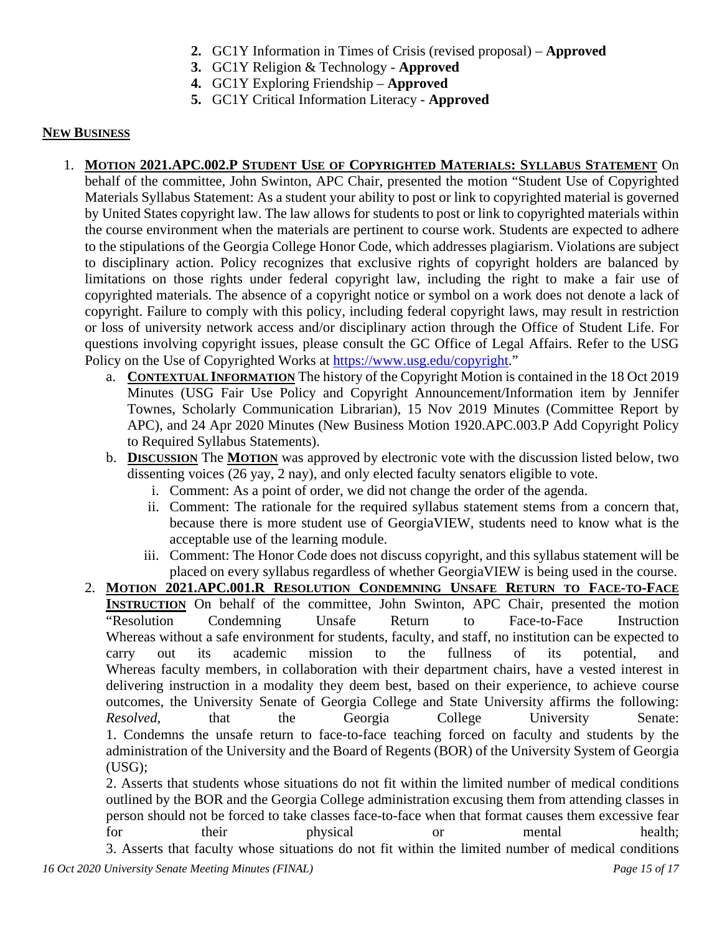- **2.** GC1Y Information in Times of Crisis (revised proposal) **Approved**
- **3.** GC1Y Religion & Technology **Approved**
- **4.** GC1Y Exploring Friendship **Approved**
- **5.** GC1Y Critical Information Literacy **Approved**

#### **NEW BUSINESS**

- 1. **MOTION 2021.APC.002.P STUDENT USE OF COPYRIGHTED MATERIALS: SYLLABUS STATEMENT** On behalf of the committee, John Swinton, APC Chair, presented the motion "Student Use of Copyrighted Materials Syllabus Statement: As a student your ability to post or link to copyrighted material is governed by United States copyright law. The law allows for students to post or link to copyrighted materials within the course environment when the materials are pertinent to course work. Students are expected to adhere to the stipulations of the Georgia College Honor Code, which addresses plagiarism. Violations are subject to disciplinary action. Policy recognizes that exclusive rights of copyright holders are balanced by limitations on those rights under federal copyright law, including the right to make a fair use of copyrighted materials. The absence of a copyright notice or symbol on a work does not denote a lack of copyright. Failure to comply with this policy, including federal copyright laws, may result in restriction or loss of university network access and/or disciplinary action through the Office of Student Life. For questions involving copyright issues, please consult the GC Office of Legal Affairs. Refer to the USG Policy on the Use of Copyrighted Works at [https://www.usg.edu/copyright.](https://www.usg.edu/copyright)"
	- a. **CONTEXTUAL INFORMATION** The history of the Copyright Motion is contained in the 18 Oct 2019 Minutes (USG Fair Use Policy and Copyright Announcement/Information item by Jennifer Townes, Scholarly Communication Librarian), 15 Nov 2019 Minutes (Committee Report by APC), and 24 Apr 2020 Minutes (New Business Motion 1920.APC.003.P Add Copyright Policy to Required Syllabus Statements).
	- b. **DISCUSSION** The **MOTION** was approved by electronic vote with the discussion listed below, two dissenting voices (26 yay, 2 nay), and only elected faculty senators eligible to vote.
		- i. Comment: As a point of order, we did not change the order of the agenda.
		- ii. Comment: The rationale for the required syllabus statement stems from a concern that, because there is more student use of GeorgiaVIEW, students need to know what is the acceptable use of the learning module.
		- iii. Comment: The Honor Code does not discuss copyright, and this syllabus statement will be placed on every syllabus regardless of whether GeorgiaVIEW is being used in the course.
	- 2. **MOTION 2021.APC.001.R RESOLUTION CONDEMNING UNSAFE RETURN TO FACE-TO-FACE INSTRUCTION** On behalf of the committee, John Swinton, APC Chair, presented the motion "Resolution Condemning Unsafe Return to Face-to-Face Instruction Whereas without a safe environment for students, faculty, and staff, no institution can be expected to carry out its academic mission to the fullness of its potential, and Whereas faculty members, in collaboration with their department chairs, have a vested interest in delivering instruction in a modality they deem best, based on their experience, to achieve course outcomes, the University Senate of Georgia College and State University affirms the following: *Resolved*, that the Georgia College University Senate: 1. Condemns the unsafe return to face-to-face teaching forced on faculty and students by the administration of the University and the Board of Regents (BOR) of the University System of Georgia (USG);

2. Asserts that students whose situations do not fit within the limited number of medical conditions outlined by the BOR and the Georgia College administration excusing them from attending classes in person should not be forced to take classes face-to-face when that format causes them excessive fear for their physical or mental health; 3. Asserts that faculty whose situations do not fit within the limited number of medical conditions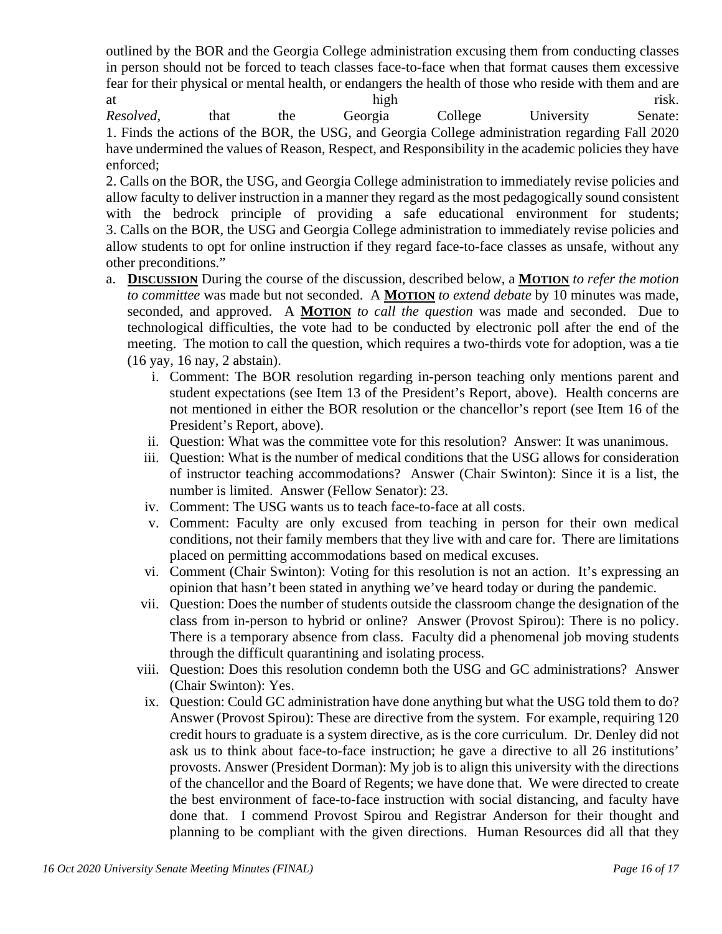outlined by the BOR and the Georgia College administration excusing them from conducting classes in person should not be forced to teach classes face-to-face when that format causes them excessive fear for their physical or mental health, or endangers the health of those who reside with them and are at high risk.

*Resolved*, that the Georgia College University Senate: 1. Finds the actions of the BOR, the USG, and Georgia College administration regarding Fall 2020 have undermined the values of Reason, Respect, and Responsibility in the academic policies they have enforced;

2. Calls on the BOR, the USG, and Georgia College administration to immediately revise policies and allow faculty to deliver instruction in a manner they regard as the most pedagogically sound consistent with the bedrock principle of providing a safe educational environment for students; 3. Calls on the BOR, the USG and Georgia College administration to immediately revise policies and allow students to opt for online instruction if they regard face-to-face classes as unsafe, without any other preconditions."

- a. **DISCUSSION** During the course of the discussion, described below, a **MOTION** *to refer the motion to committee* was made but not seconded. A **MOTION** *to extend debate* by 10 minutes was made, seconded, and approved. A **MOTION** *to call the question* was made and seconded. Due to technological difficulties, the vote had to be conducted by electronic poll after the end of the meeting. The motion to call the question, which requires a two-thirds vote for adoption, was a tie (16 yay, 16 nay, 2 abstain).
	- i. Comment: The BOR resolution regarding in-person teaching only mentions parent and student expectations (see Item 13 of the President's Report, above). Health concerns are not mentioned in either the BOR resolution or the chancellor's report (see Item 16 of the President's Report, above).
	- ii. Question: What was the committee vote for this resolution? Answer: It was unanimous.
	- iii. Question: What is the number of medical conditions that the USG allows for consideration of instructor teaching accommodations? Answer (Chair Swinton): Since it is a list, the number is limited. Answer (Fellow Senator): 23.
	- iv. Comment: The USG wants us to teach face-to-face at all costs.
	- v. Comment: Faculty are only excused from teaching in person for their own medical conditions, not their family members that they live with and care for. There are limitations placed on permitting accommodations based on medical excuses.
	- vi. Comment (Chair Swinton): Voting for this resolution is not an action. It's expressing an opinion that hasn't been stated in anything we've heard today or during the pandemic.
	- vii. Question: Does the number of students outside the classroom change the designation of the class from in-person to hybrid or online? Answer (Provost Spirou): There is no policy. There is a temporary absence from class. Faculty did a phenomenal job moving students through the difficult quarantining and isolating process.
	- viii. Question: Does this resolution condemn both the USG and GC administrations? Answer (Chair Swinton): Yes.
	- ix. Question: Could GC administration have done anything but what the USG told them to do? Answer (Provost Spirou): These are directive from the system. For example, requiring 120 credit hours to graduate is a system directive, as is the core curriculum. Dr. Denley did not ask us to think about face-to-face instruction; he gave a directive to all 26 institutions' provosts. Answer (President Dorman): My job is to align this university with the directions of the chancellor and the Board of Regents; we have done that. We were directed to create the best environment of face-to-face instruction with social distancing, and faculty have done that. I commend Provost Spirou and Registrar Anderson for their thought and planning to be compliant with the given directions. Human Resources did all that they